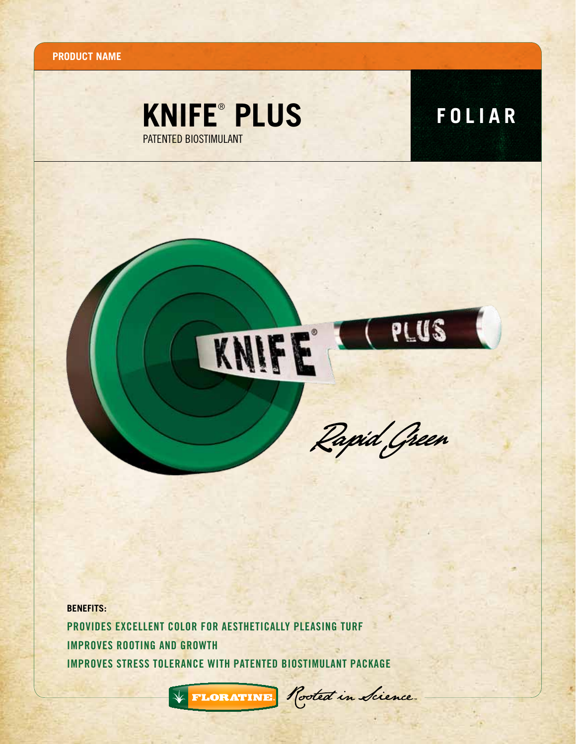**Product name**



PLUS



KNIFE

**BENEFITS:** Provides excellent color for aesthetically pleasing turf Improves rooting and growth Improves stress tolerance with patented biostimulant package